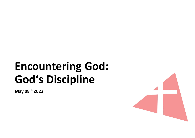# **Encountering God:<br>Encountering God:<br>God's Discipline** Encountering God:<br>God's Discipline

May 08th 2022

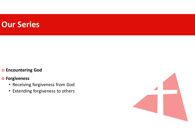#### Our Series

#### o Encountering God

#### o Forgiveness

- Receiving forgiveness from God
- Extending forgiveness to others

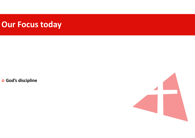## Our Focus today

o God's discipline

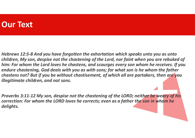#### Our Text

Hebrews 12:5-8 And you have forgotten the exhortation which speaks unto you as unto children, My son, despise not the chastening of the Lord, nor faint when you are rebuked of him: For whom the Lord loves he chastens, and scourges every son whom he receives. If you endure chastening, God deals with you as with sons; for what son is he whom the father chastens not? But if you be without chastisement, of which all are partakers, then are you illegitimate children, and not sons.

Proverbs 3:11-12 My son, despise not the chastening of the LORD; neither be weary of his correction: For whom the LORD loves he corrects; even as a father the son in whom he delights.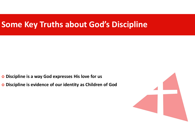# Some Key Truths about God's Discipline

- o Discipline is a way God expresses His love for us
- Discipline is evidence of our identity as Children of God

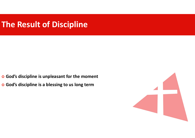# The Result of Discipline

- God's discipline is unpleasant for the moment
- God's discipline is a blessing to us long term

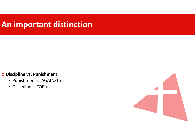# An important distinction

#### o Discipline vs. Punishment

- Punishment is AGAINST us
- Discipline is FOR us

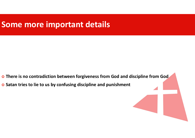## Some more important details

- There is no contradiction between forgiveness from God and discipline from God
- o Satan tries to lie to us by confusing discipline and punishment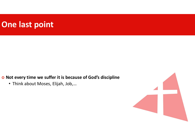# One last point

o Not every time we suffer it is because of God's discipline

• Think about Moses, Elijah, Job,…

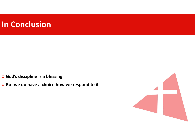## In Conclusion

God's discipline is a blessing

o But we do have a choice how we respond to it